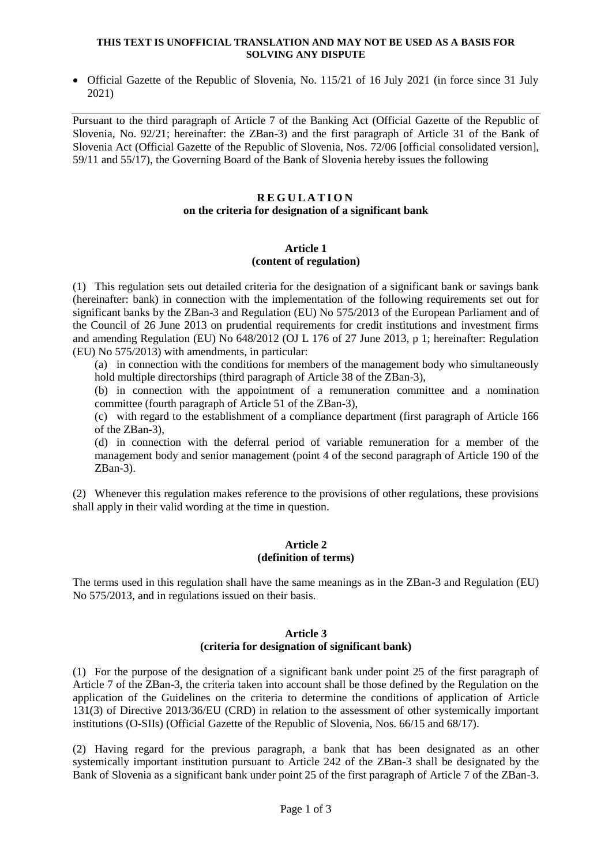#### **THIS TEXT IS UNOFFICIAL TRANSLATION AND MAY NOT BE USED AS A BASIS FOR SOLVING ANY DISPUTE**

• Official Gazette of the Republic of Slovenia, No. 115/21 of 16 July 2021 (in force since 31 July 2021)

Pursuant to the third paragraph of Article 7 of the Banking Act (Official Gazette of the Republic of Slovenia, No. 92/21; hereinafter: the ZBan-3) and the first paragraph of Article 31 of the Bank of Slovenia Act (Official Gazette of the Republic of Slovenia, Nos. 72/06 [official consolidated version], 59/11 and 55/17), the Governing Board of the Bank of Slovenia hereby issues the following

### **R E G U L A T I O N on the criteria for designation of a significant bank**

### **Article 1 (content of regulation)**

(1) This regulation sets out detailed criteria for the designation of a significant bank or savings bank (hereinafter: bank) in connection with the implementation of the following requirements set out for significant banks by the ZBan-3 and Regulation (EU) No 575/2013 of the European Parliament and of the Council of 26 June 2013 on prudential requirements for credit institutions and investment firms and amending Regulation (EU) No 648/2012 (OJ L 176 of 27 June 2013, p 1; hereinafter: Regulation (EU) No 575/2013) with amendments, in particular:

(a) in connection with the conditions for members of the management body who simultaneously hold multiple directorships (third paragraph of Article 38 of the ZBan-3),

(b) in connection with the appointment of a remuneration committee and a nomination committee (fourth paragraph of Article 51 of the ZBan-3),

(c) with regard to the establishment of a compliance department (first paragraph of Article 166 of the ZBan-3),

(d) in connection with the deferral period of variable remuneration for a member of the management body and senior management (point 4 of the second paragraph of Article 190 of the ZBan-3).

(2) Whenever this regulation makes reference to the provisions of other regulations, these provisions shall apply in their valid wording at the time in question.

## **Article 2 (definition of terms)**

The terms used in this regulation shall have the same meanings as in the ZBan-3 and Regulation (EU) No 575/2013, and in regulations issued on their basis.

# **Article 3 (criteria for designation of significant bank)**

(1) For the purpose of the designation of a significant bank under point 25 of the first paragraph of Article 7 of the ZBan-3, the criteria taken into account shall be those defined by the Regulation on the application of the Guidelines on the criteria to determine the conditions of application of Article 131(3) of Directive 2013/36/EU (CRD) in relation to the assessment of other systemically important institutions (O-SIIs) (Official Gazette of the Republic of Slovenia, Nos. 66/15 and 68/17).

(2) Having regard for the previous paragraph, a bank that has been designated as an other systemically important institution pursuant to Article 242 of the ZBan-3 shall be designated by the Bank of Slovenia as a significant bank under point 25 of the first paragraph of Article 7 of the ZBan-3.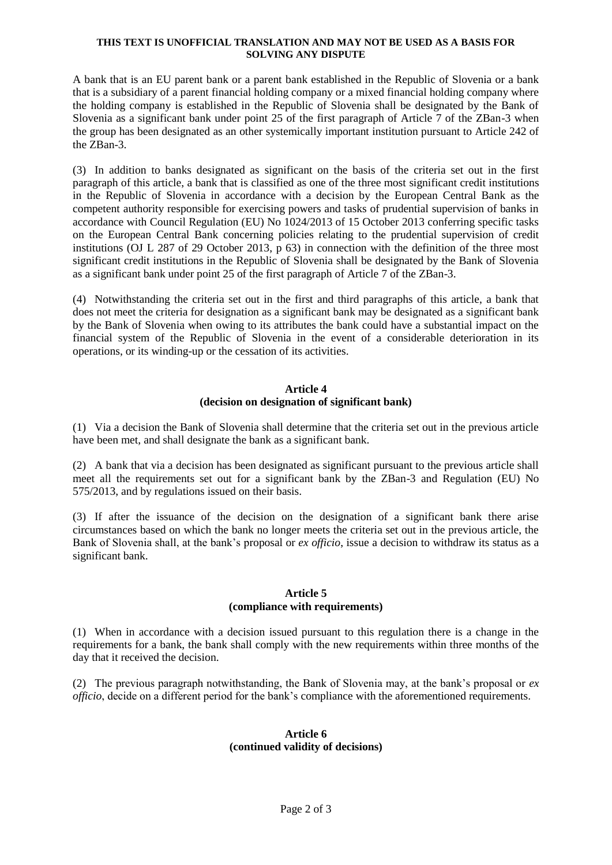#### **THIS TEXT IS UNOFFICIAL TRANSLATION AND MAY NOT BE USED AS A BASIS FOR SOLVING ANY DISPUTE**

A bank that is an EU parent bank or a parent bank established in the Republic of Slovenia or a bank that is a subsidiary of a parent financial holding company or a mixed financial holding company where the holding company is established in the Republic of Slovenia shall be designated by the Bank of Slovenia as a significant bank under point 25 of the first paragraph of Article 7 of the ZBan-3 when the group has been designated as an other systemically important institution pursuant to Article 242 of the ZBan-3.

(3) In addition to banks designated as significant on the basis of the criteria set out in the first paragraph of this article, a bank that is classified as one of the three most significant credit institutions in the Republic of Slovenia in accordance with a decision by the European Central Bank as the competent authority responsible for exercising powers and tasks of prudential supervision of banks in accordance with Council Regulation (EU) No 1024/2013 of 15 October 2013 conferring specific tasks on the European Central Bank concerning policies relating to the prudential supervision of credit institutions (OJ L 287 of 29 October 2013, p 63) in connection with the definition of the three most significant credit institutions in the Republic of Slovenia shall be designated by the Bank of Slovenia as a significant bank under point 25 of the first paragraph of Article 7 of the ZBan-3.

(4) Notwithstanding the criteria set out in the first and third paragraphs of this article, a bank that does not meet the criteria for designation as a significant bank may be designated as a significant bank by the Bank of Slovenia when owing to its attributes the bank could have a substantial impact on the financial system of the Republic of Slovenia in the event of a considerable deterioration in its operations, or its winding-up or the cessation of its activities.

# **Article 4 (decision on designation of significant bank)**

(1) Via a decision the Bank of Slovenia shall determine that the criteria set out in the previous article have been met, and shall designate the bank as a significant bank.

(2) A bank that via a decision has been designated as significant pursuant to the previous article shall meet all the requirements set out for a significant bank by the ZBan-3 and Regulation (EU) No 575/2013, and by regulations issued on their basis.

(3) If after the issuance of the decision on the designation of a significant bank there arise circumstances based on which the bank no longer meets the criteria set out in the previous article, the Bank of Slovenia shall, at the bank's proposal or *ex officio*, issue a decision to withdraw its status as a significant bank.

# **Article 5 (compliance with requirements)**

(1) When in accordance with a decision issued pursuant to this regulation there is a change in the requirements for a bank, the bank shall comply with the new requirements within three months of the day that it received the decision.

(2) The previous paragraph notwithstanding, the Bank of Slovenia may, at the bank's proposal or *ex officio*, decide on a different period for the bank's compliance with the aforementioned requirements.

# **Article 6 (continued validity of decisions)**